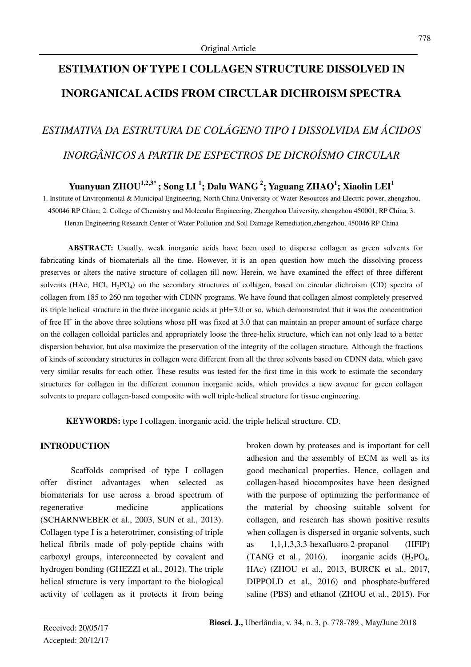## **ESTIMATION OF TYPE I COLLAGEN STRUCTURE DISSOLVED IN INORGANICAL ACIDS FROM CIRCULAR DICHROISM SPECTRA**

# *ESTIMATIVA DA ESTRUTURA DE COLÁGENO TIPO I DISSOLVIDA EM ÁCIDOS INORGÂNICOS A PARTIR DE ESPECTROS DE DICROÍSMO CIRCULAR*

### **Yuanyuan ZHOU1,2,3\* ; Song LI <sup>1</sup> ; Dalu WANG<sup>2</sup>; Yaguang ZHAO<sup>1</sup> ; Xiaolin LEI<sup>1</sup>**

1. Institute of Environmental & Municipal Engineering, North China University of Water Resources and Electric power, zhengzhou, 450046 RP China; 2. College of Chemistry and Molecular Engineering, Zhengzhou University, zhengzhou 450001, RP China, 3. Henan Engineering Research Center of Water Pollution and Soil Damage Remediation,zhengzhou, 450046 RP China

**ABSTRACT:** Usually, weak inorganic acids have been used to disperse collagen as green solvents for fabricating kinds of biomaterials all the time. However, it is an open question how much the dissolving process preserves or alters the native structure of collagen till now. Herein, we have examined the effect of three different solvents (HAc, HCl, H<sub>3</sub>PO<sub>4</sub>) on the secondary structures of collagen, based on circular dichroism (CD) spectra of collagen from 185 to 260 nm together with CDNN programs. We have found that collagen almost completely preserved its triple helical structure in the three inorganic acids at pH=3.0 or so, which demonstrated that it was the concentration of free H<sup>+</sup> in the above three solutions whose pH was fixed at 3.0 that can maintain an proper amount of surface charge on the collagen colloidal particles and appropriately loose the three-helix structure, which can not only lead to a better dispersion behavior, but also maximize the preservation of the integrity of the collagen structure. Although the fractions of kinds of secondary structures in collagen were different from all the three solvents based on CDNN data, which gave very similar results for each other. These results was tested for the first time in this work to estimate the secondary structures for collagen in the different common inorganic acids, which provides a new avenue for green collagen solvents to prepare collagen-based composite with well triple-helical structure for tissue engineering.

**KEYWORDS:** type I collagen. inorganic acid. the triple helical structure. CD.

#### **INTRODUCTION**

Scaffolds comprised of type I collagen offer distinct advantages when selected as biomaterials for use across a broad spectrum of regenerative medicine applications (SCHARNWEBER et al., 2003, SUN et al., 2013). Collagen type I is a heterotrimer, consisting of triple helical fibrils made of poly-peptide chains with carboxyl groups, interconnected by covalent and hydrogen bonding (GHEZZI et al., 2012). The triple helical structure is very important to the biological activity of collagen as it protects it from being broken down by proteases and is important for cell adhesion and the assembly of ECM as well as its good mechanical properties. Hence, collagen and collagen-based biocomposites have been designed with the purpose of optimizing the performance of the material by choosing suitable solvent for collagen, and research has shown positive results when collagen is dispersed in organic solvents, such as  $1,1,1,3,3,3$ -hexafluoro-2-propanol (HFIP) (TANG et al., 2016), inorganic acids  $(H_3PO_4,$ HAc) (ZHOU et al., 2013, BURCK et al., 2017, DIPPOLD et al., 2016) and phosphate-buffered saline (PBS) and ethanol (ZHOU et al., 2015). For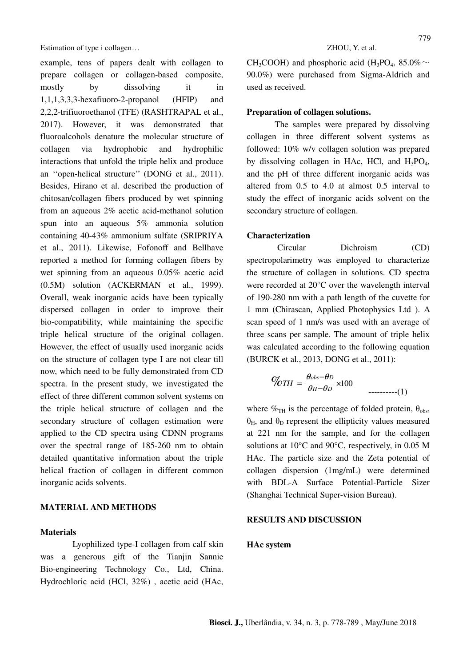example, tens of papers dealt with collagen to prepare collagen or collagen-based composite, mostly by dissolving it in 1,1,1,3,3,3-hexafiuoro-2-propanol (HFIP) and 2,2,2-trifiuoroethanol (TFE) (RASHTRAPAL et al., 2017). However, it was demonstrated that fluoroalcohols denature the molecular structure of collagen via hydrophobic and hydrophilic interactions that unfold the triple helix and produce an ''open-helical structure'' (DONG et al., 2011). Besides, Hirano et al. described the production of chitosan/collagen fibers produced by wet spinning from an aqueous 2% acetic acid-methanol solution spun into an aqueous 5% ammonia solution containing 40-43% ammonium sulfate (SRIPRIYA et al., 2011). Likewise, Fofonoff and Bellhave reported a method for forming collagen fibers by wet spinning from an aqueous 0.05% acetic acid (0.5M) solution (ACKERMAN et al., 1999). Overall, weak inorganic acids have been typically dispersed collagen in order to improve their bio-compatibility, while maintaining the specific triple helical structure of the original collagen. However, the effect of usually used inorganic acids on the structure of collagen type I are not clear till now, which need to be fully demonstrated from CD spectra. In the present study, we investigated the effect of three different common solvent systems on the triple helical structure of collagen and the secondary structure of collagen estimation were applied to the CD spectra using CDNN programs over the spectral range of 185-260 nm to obtain detailed quantitative information about the triple helical fraction of collagen in different common inorganic acids solvents.

### **MATERIAL AND METHODS**

#### **Materials**

Lyophilized type-I collagen from calf skin was a generous gift of the Tianjin Sannie Bio-engineering Technology Co., Ltd, China. Hydrochloric acid (HCl, 32%) , acetic acid (HAc,

CH<sub>3</sub>COOH) and phosphoric acid (H<sub>3</sub>PO<sub>4</sub>, 85.0% $\sim$ 90.0%) were purchased from Sigma-Aldrich and used as received.

#### **Preparation of collagen solutions.**

The samples were prepared by dissolving collagen in three different solvent systems as followed: 10% w/v collagen solution was prepared by dissolving collagen in HAc, HCl, and  $H_3PO_4$ , and the pH of three different inorganic acids was altered from 0.5 to 4.0 at almost 0.5 interval to study the effect of inorganic acids solvent on the secondary structure of collagen.

#### **Characterization**

Circular Dichroism (CD) spectropolarimetry was employed to characterize the structure of collagen in solutions. CD spectra were recorded at 20°C over the wavelength interval of 190-280 nm with a path length of the cuvette for 1 mm (Chirascan, Applied Photophysics Ltd ). A scan speed of 1 nm/s was used with an average of three scans per sample. The amount of triple helix was calculated according to the following equation (BURCK et al., 2013, DONG et al., 2011):

$$
\%TH = \frac{\theta_{obs} - \theta_D}{\theta_H - \theta_D} \times 100 \qquad \qquad \dots \dots \dots (1)
$$

where  $\%_{TH}$  is the percentage of folded protein,  $\theta_{obs}$ ,  $θ$ <sub>H</sub>, and  $θ$ <sub>D</sub> represent the ellipticity values measured at 221 nm for the sample, and for the collagen solutions at 10°C and 90°C, respectively, in 0.05 M HAc. The particle size and the Zeta potential of collagen dispersion (1mg/mL) were determined with BDL-A Surface Potential-Particle Sizer (Shanghai Technical Super-vision Bureau).

#### **RESULTS AND DISCUSSION**

#### **HAc system**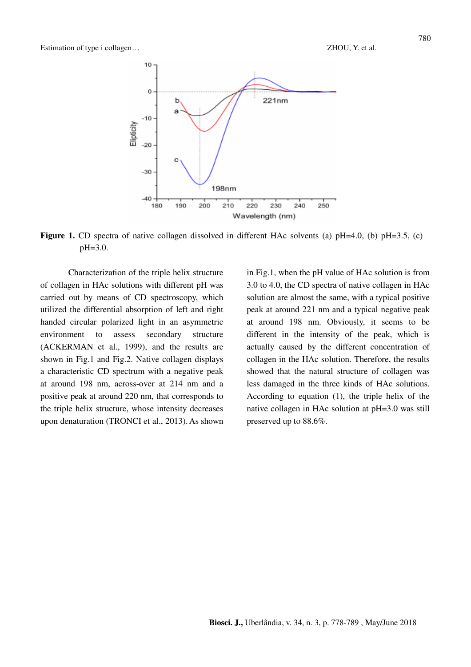

**Figure 1.** CD spectra of native collagen dissolved in different HAc solvents (a)  $pH=4.0$ , (b)  $pH=3.5$ , (c) pH=3.0.

Characterization of the triple helix structure of collagen in HAc solutions with different pH was carried out by means of CD spectroscopy, which utilized the differential absorption of left and right handed circular polarized light in an asymmetric environment to assess secondary structure (ACKERMAN et al., 1999), and the results are shown in Fig.1 and Fig.2. Native collagen displays a characteristic CD spectrum with a negative peak at around 198 nm, across-over at 214 nm and a positive peak at around 220 nm, that corresponds to the triple helix structure, whose intensity decreases upon denaturation (TRONCI et al., 2013).As shown in Fig.1, when the pH value of HAc solution is from 3.0 to 4.0, the CD spectra of native collagen in HAc solution are almost the same, with a typical positive peak at around 221 nm and a typical negative peak at around 198 nm. Obviously, it seems to be different in the intensity of the peak, which is actually caused by the different concentration of collagen in the HAc solution. Therefore, the results showed that the natural structure of collagen was less damaged in the three kinds of HAc solutions. According to equation (1), the triple helix of the native collagen in HAc solution at pH=3.0 was still preserved up to 88.6%.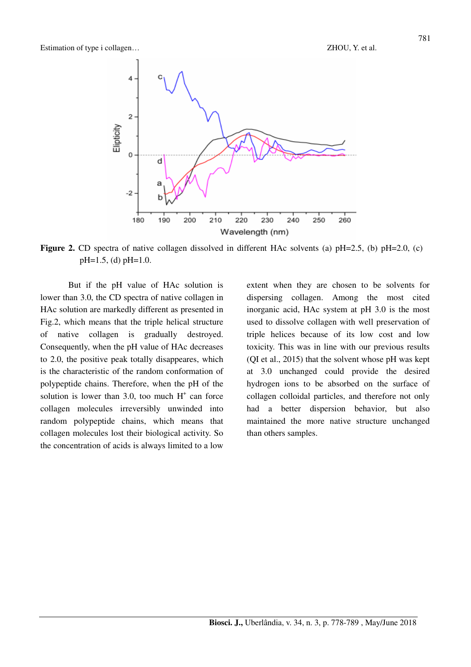

Figure 2. CD spectra of native collagen dissolved in different HAc solvents (a)  $pH=2.5$ , (b)  $pH=2.0$ , (c) pH=1.5, (d) pH=1.0.

But if the pH value of HAc solution is lower than 3.0, the CD spectra of native collagen in HAc solution are markedly different as presented in Fig.2, which means that the triple helical structure of native collagen is gradually destroyed. Consequently, when the pH value of HAc decreases to 2.0, the positive peak totally disappeares, which is the characteristic of the random conformation of polypeptide chains. Therefore, when the pH of the solution is lower than 3.0, too much  $H^+$  can force collagen molecules irreversibly unwinded into random polypeptide chains, which means that collagen molecules lost their biological activity. So the concentration of acids is always limited to a low

extent when they are chosen to be solvents for dispersing collagen. Among the most cited inorganic acid, HAc system at pH 3.0 is the most used to dissolve collagen with well preservation of triple helices because of its low cost and low toxicity. This was in line with our previous results (QI et al., 2015) that the solvent whose pH was kept at 3.0 unchanged could provide the desired hydrogen ions to be absorbed on the surface of collagen colloidal particles, and therefore not only had a better dispersion behavior, but also maintained the more native structure unchanged than others samples.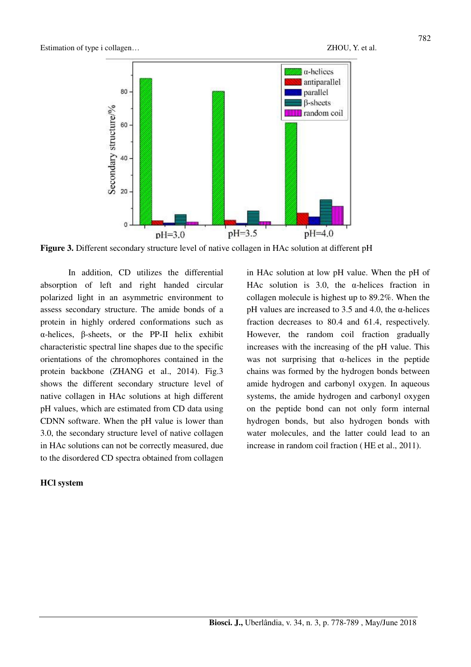

**Figure 3.** Different secondary structure level of native collagen in HAc solution at different pH

In addition, CD utilizes the differential absorption of left and right handed circular polarized light in an asymmetric environment to assess secondary structure. The amide bonds of a protein in highly ordered conformations such as α-helices, β-sheets, or the PP-II helix exhibit characteristic spectral line shapes due to the specific orientations of the chromophores contained in the protein backbone (ZHANG et al., 2014). Fig.3 shows the different secondary structure level of native collagen in HAc solutions at high different pH values, which are estimated from CD data using CDNN software. When the pH value is lower than 3.0, the secondary structure level of native collagen in HAc solutions can not be correctly measured, due to the disordered CD spectra obtained from collagen

#### **HCl system**

in HAc solution at low pH value. When the pH of HAc solution is 3.0, the  $\alpha$ -helices fraction in collagen molecule is highest up to 89.2%. When the pH values are increased to 3.5 and 4.0, the α-helices fraction decreases to 80.4 and 61.4, respectively. However, the random coil fraction gradually increases with the increasing of the pH value. This was not surprising that  $\alpha$ -helices in the peptide chains was formed by the hydrogen bonds between amide hydrogen and carbonyl oxygen. In aqueous systems, the amide hydrogen and carbonyl oxygen on the peptide bond can not only form internal hydrogen bonds, but also hydrogen bonds with water molecules, and the latter could lead to an increase in random coil fraction ( HE et al., 2011).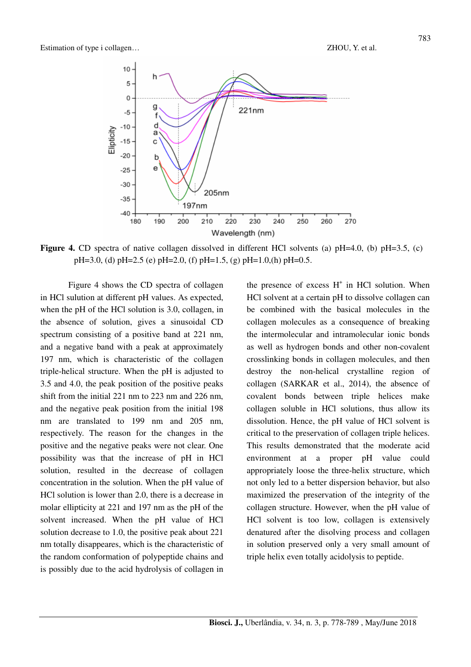

**Figure 4.** CD spectra of native collagen dissolved in different HCl solvents (a)  $pH=4.0$ , (b)  $pH=3.5$ , (c)  $pH=3.0$ , (d)  $pH=2.5$  (e)  $pH=2.0$ , (f)  $pH=1.5$ , (g)  $pH=1.0$ , (h)  $pH=0.5$ .

Figure 4 shows the CD spectra of collagen in HCl sulution at different pH values. As expected, when the pH of the HCl solution is 3.0, collagen, in the absence of solution, gives a sinusoidal CD spectrum consisting of a positive band at 221 nm, and a negative band with a peak at approximately 197 nm, which is characteristic of the collagen triple-helical structure. When the pH is adjusted to 3.5 and 4.0, the peak position of the positive peaks shift from the initial 221 nm to 223 nm and 226 nm, and the negative peak position from the initial 198 nm are translated to 199 nm and 205 nm, respectively. The reason for the changes in the positive and the negative peaks were not clear. One possibility was that the increase of pH in HCl solution, resulted in the decrease of collagen concentration in the solution. When the pH value of HCl solution is lower than 2.0, there is a decrease in molar ellipticity at 221 and 197 nm as the pH of the solvent increased. When the pH value of HCl solution decrease to 1.0, the positive peak about 221 nm totally disappeares, which is the characteristic of the random conformation of polypeptide chains and is possibly due to the acid hydrolysis of collagen in

the presence of excess  $H^+$  in HCl solution. When HCl solvent at a certain pH to dissolve collagen can be combined with the basical molecules in the collagen molecules as a consequence of breaking the intermolecular and intramolecular ionic bonds as well as hydrogen bonds and other non-covalent crosslinking bonds in collagen molecules, and then destroy the non-helical crystalline region of collagen (SARKAR et al., 2014), the absence of covalent bonds between triple helices make collagen soluble in HCl solutions, thus allow its dissolution. Hence, the pH value of HCl solvent is critical to the preservation of collagen triple helices. This results demonstrated that the moderate acid environment at a proper pH value could appropriately loose the three-helix structure, which not only led to a better dispersion behavior, but also maximized the preservation of the integrity of the collagen structure. However, when the pH value of HCl solvent is too low, collagen is extensively denatured after the disolving process and collagen in solution preserved only a very small amount of triple helix even totally acidolysis to peptide.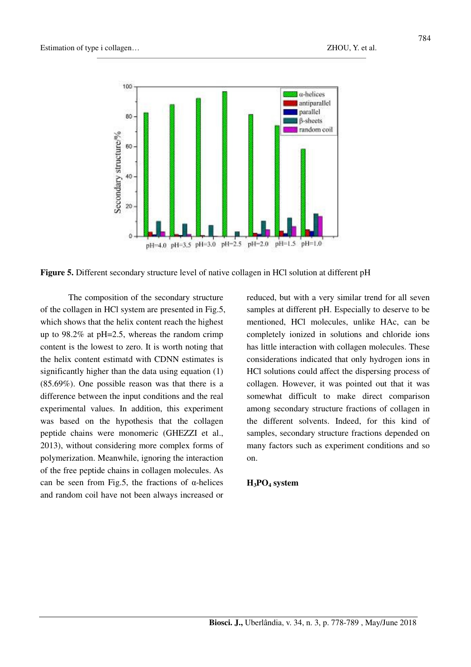

**Figure 5.** Different secondary structure level of native collagen in HCl solution at different pH

The composition of the secondary structure of the collagen in HCl system are presented in Fig.5, which shows that the helix content reach the highest up to 98.2% at pH=2.5, whereas the random crimp content is the lowest to zero. It is worth noting that the helix content estimatd with CDNN estimates is significantly higher than the data using equation  $(1)$ (85.69%). One possible reason was that there is a difference between the input conditions and the real experimental values. In addition, this experiment was based on the hypothesis that the collagen peptide chains were monomeric (GHEZZI et al., 2013), without considering more complex forms of polymerization. Meanwhile, ignoring the interaction of the free peptide chains in collagen molecules. As can be seen from Fig.5, the fractions of  $\alpha$ -helices and random coil have not been always increased or

reduced, but with a very similar trend for all seven samples at different pH. Especially to deserve to be mentioned, HCl molecules, unlike HAc, can be completely ionized in solutions and chloride ions has little interaction with collagen molecules. These considerations indicated that only hydrogen ions in HCl solutions could affect the dispersing process of collagen. However, it was pointed out that it was somewhat difficult to make direct comparison among secondary structure fractions of collagen in the different solvents. Indeed, for this kind of samples, secondary structure fractions depended on many factors such as experiment conditions and so on.

#### **H3PO4 system**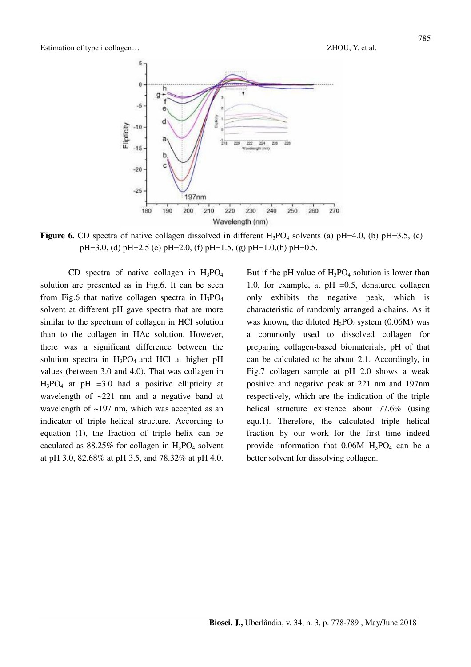

**Figure 6.** CD spectra of native collagen dissolved in different  $H_3PO_4$  solvents (a)  $pH=4.0$ , (b)  $pH=3.5$ , (c)  $pH=3.0$ , (d)  $pH=2.5$  (e)  $pH=2.0$ , (f)  $pH=1.5$ , (g)  $pH=1.0$ , (h)  $pH=0.5$ .

CD spectra of native collagen in  $H_3PO_4$ solution are presented as in Fig.6. It can be seen from Fig.6 that native collagen spectra in  $H_3PO_4$ solvent at different pH gave spectra that are more similar to the spectrum of collagen in HCl solution than to the collagen in HAc solution. However, there was a significant difference between the solution spectra in  $H_3PO_4$  and HCl at higher pH values (between 3.0 and 4.0). That was collagen in  $H_3PO_4$  at pH =3.0 had a positive ellipticity at wavelength of  $\sim 221$  nm and a negative band at wavelength of ~197 nm, which was accepted as an indicator of triple helical structure. According to equation (1), the fraction of triple helix can be caculated as  $88.25\%$  for collagen in  $H_3PO_4$  solvent at pH 3.0, 82.68% at pH 3.5, and 78.32% at pH 4.0.

But if the pH value of  $H_3PO_4$  solution is lower than 1.0, for example, at  $pH = 0.5$ , denatured collagen only exhibits the negative peak, which is characteristic of randomly arranged a-chains. As it was known, the diluted  $H_3PO_4$  system (0.06M) was a commonly used to dissolved collagen for preparing collagen-based biomaterials, pH of that can be calculated to be about 2.1. Accordingly, in Fig.7 collagen sample at pH 2.0 shows a weak positive and negative peak at 221 nm and 197nm respectively, which are the indication of the triple helical structure existence about 77.6% (using equ.1). Therefore, the calculated triple helical fraction by our work for the first time indeed provide information that  $0.06M$  H<sub>3</sub>PO<sub>4</sub> can be a better solvent for dissolving collagen.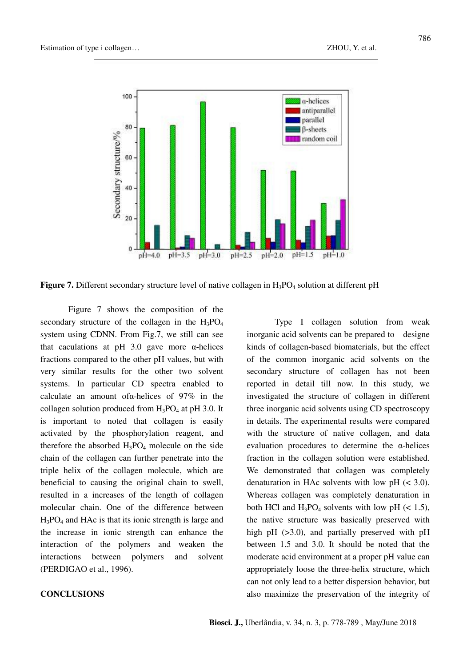

**Figure 7.** Different secondary structure level of native collagen in H<sub>3</sub>PO<sub>4</sub> solution at different pH

Figure 7 shows the composition of the secondary structure of the collagen in the  $H_3PO_4$ system using CDNN. From Fig.7, we still can see that caculations at pH 3.0 gave more  $α$ -helices fractions compared to the other pH values, but with very similar results for the other two solvent systems. In particular CD spectra enabled to calculate an amount ofα-helices of 97% in the collagen solution produced from  $H_3PO_4$  at pH 3.0. It is important to noted that collagen is easily activated by the phosphorylation reagent, and therefore the absorbed  $H_3PO_4$  molecule on the side chain of the collagen can further penetrate into the triple helix of the collagen molecule, which are beneficial to causing the original chain to swell, resulted in a increases of the length of collagen molecular chain. One of the difference between H3PO4 and HAc is that its ionic strength is large and the increase in ionic strength can enhance the interaction of the polymers and weaken the interactions between polymers and solvent (PERDIGAO et al., 1996).

#### **CONCLUSIONS**

Type I collagen solution from weak inorganic acid solvents can be prepared to designe kinds of collagen-based biomaterials, but the effect of the common inorganic acid solvents on the secondary structure of collagen has not been reported in detail till now. In this study, we investigated the structure of collagen in different three inorganic acid solvents using CD spectroscopy in details. The experimental results were compared with the structure of native collagen, and data evaluation procedures to determine the α-helices fraction in the collagen solution were established. We demonstrated that collagen was completely denaturation in HAc solvents with low  $pH \approx 3.0$ ). Whereas collagen was completely denaturation in both HCl and  $H_3PO_4$  solvents with low pH (< 1.5), the native structure was basically preserved with high pH ( $>3.0$ ), and partially preserved with pH between 1.5 and 3.0. It should be noted that the moderate acid environment at a proper pH value can appropriately loose the three-helix structure, which can not only lead to a better dispersion behavior, but also maximize the preservation of the integrity of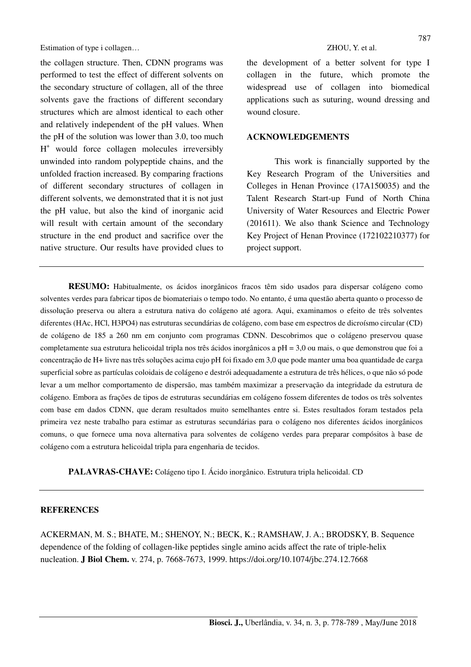the collagen structure. Then, CDNN programs was performed to test the effect of different solvents on the secondary structure of collagen, all of the three solvents gave the fractions of different secondary structures which are almost identical to each other and relatively independent of the pH values. When the pH of the solution was lower than 3.0, too much H + would force collagen molecules irreversibly unwinded into random polypeptide chains, and the unfolded fraction increased. By comparing fractions of different secondary structures of collagen in different solvents, we demonstrated that it is not just the pH value, but also the kind of inorganic acid will result with certain amount of the secondary structure in the end product and sacrifice over the native structure. Our results have provided clues to the development of a better solvent for type I collagen in the future, which promote the widespread use of collagen into biomedical applications such as suturing, wound dressing and wound closure.

#### **ACKNOWLEDGEMENTS**

This work is financially supported by the Key Research Program of the Universities and Colleges in Henan Province (17A150035) and the Talent Research Start-up Fund of North China University of Water Resources and Electric Power (201611). We also thank Science and Technology Key Project of Henan Province (172102210377) for project support.

**RESUMO:** Habitualmente, os ácidos inorgânicos fracos têm sido usados para dispersar colágeno como solventes verdes para fabricar tipos de biomateriais o tempo todo. No entanto, é uma questão aberta quanto o processo de dissolução preserva ou altera a estrutura nativa do colágeno até agora. Aqui, examinamos o efeito de três solventes diferentes (HAc, HCl, H3PO4) nas estruturas secundárias de colágeno, com base em espectros de dicroísmo circular (CD) de colágeno de 185 a 260 nm em conjunto com programas CDNN. Descobrimos que o colágeno preservou quase completamente sua estrutura helicoidal tripla nos três ácidos inorgânicos a pH = 3,0 ou mais, o que demonstrou que foi a concentração de H+ livre nas três soluções acima cujo pH foi fixado em 3,0 que pode manter uma boa quantidade de carga superficial sobre as partículas coloidais de colágeno e destrói adequadamente a estrutura de três hélices, o que não só pode levar a um melhor comportamento de dispersão, mas também maximizar a preservação da integridade da estrutura de colágeno. Embora as frações de tipos de estruturas secundárias em colágeno fossem diferentes de todos os três solventes com base em dados CDNN, que deram resultados muito semelhantes entre si. Estes resultados foram testados pela primeira vez neste trabalho para estimar as estruturas secundárias para o colágeno nos diferentes ácidos inorgânicos comuns, o que fornece uma nova alternativa para solventes de colágeno verdes para preparar compósitos à base de colágeno com a estrutura helicoidal tripla para engenharia de tecidos.

**PALAVRAS-CHAVE:** Colágeno tipo I. Ácido inorgânico. Estrutura tripla helicoidal. CD

#### **REFERENCES**

ACKERMAN, M. S.; BHATE, M.; SHENOY, N.; BECK, K.; RAMSHAW, J. A.; BRODSKY, B. Sequence dependence of the folding of collagen-like peptides single amino acids affect the rate of triple-helix nucleation. **J Biol Chem.** v. 274, p. 7668-7673, 1999. https://doi.org/10.1074/jbc.274.12.7668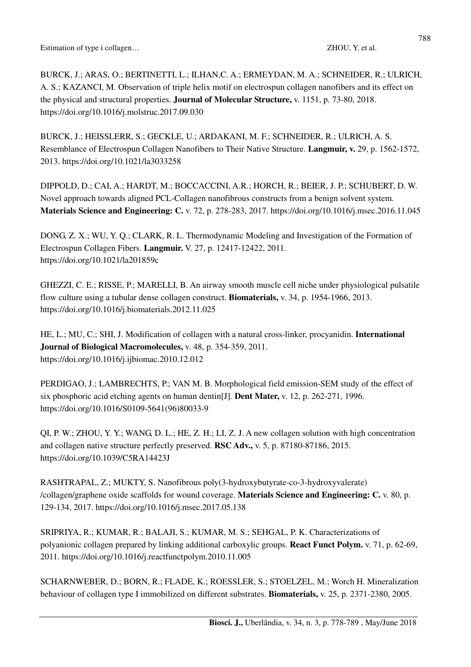BURCK, J.; ARAS, O.; BERTINETTI, L.; ILHAN,C. A.; ERMEYDAN, M. A.; SCHNEIDER, R.; ULRICH, A. S.; KAZANCI, M. Observation of triple helix motif on electrospun collagen nanofibers and its effect on the physical and structural properties. **Journal of Molecular Structure,** v. 1151, p. 73-80, 2018. https://doi.org/10.1016/j.molstruc.2017.09.030

BURCK, J.; HEISSLERR, S.; GECKLE, U.; ARDAKANI, M. F.; SCHNEIDER, R.; ULRICH, A. S. Resemblance of Electrospun Collagen Nanofibers to Their Native Structure. **Langmuir, v.** 29, p. 1562-1572, 2013. https://doi.org/10.1021/la3033258

DIPPOLD, D.; CAI, A.; HARDT, M.; BOCCACCINI, A.R.; HORCH, R.; BEIER, J. P.; SCHUBERT, D. W. Novel approach towards aligned PCL-Collagen nanofibrous constructs from a benign solvent system. **Materials Science and Engineering: C.** v. 72, p. 278-283, 2017. https://doi.org/10.1016/j.msec.2016.11.045

DONG, Z. X.; WU, Y. Q.; CLARK, R. L. Thermodynamic Modeling and Investigation of the Formation of Electrospun Collagen Fibers. **Langmuir.** V. 27, p. 12417-12422, 2011. https://doi.org/10.1021/la201859c

GHEZZI, C. E.; RISSE, P.; MARELLI, B. An airway smooth muscle cell niche under physiological pulsatile flow culture using a tubular dense collagen construct. **Biomaterials,** v. 34, p. 1954-1966, 2013. https://doi.org/10.1016/j.biomaterials.2012.11.025

HE, L.; MU, C.; SHI, J. Modification of collagen with a natural cross-linker, procyanidin. **International Journal of Biological Macromolecules,** v. 48, p. 354-359, 2011. https://doi.org/10.1016/j.ijbiomac.2010.12.012

PERDIGAO, J.; LAMBRECHTS, P.; VAN M. B. Morphological field emission-SEM study of the effect of six phosphoric acid etching agents on human dentin[J]. **Dent Mater,** v. 12, p. 262-271, 1996. https://doi.org/10.1016/S0109-5641(96)80033-9

QI, P. W.; ZHOU, Y. Y.; WANG, D. L.; HE, Z. H.; LI, Z. J. A new collagen solution with high concentration and collagen native structure perfectly preserved. **RSC Adv.,** v. 5, p. 87180-87186, 2015. https://doi.org/10.1039/C5RA14423J

RASHTRAPAL, Z.; MUKTY, S. Nanofibrous poly(3-hydroxybutyrate-co-3-hydroxyvalerate) /collagen/graphene oxide scaffolds for wound coverage. **Materials Science and Engineering: C.** v. 80, p. 129-134, 2017. https://doi.org/10.1016/j.msec.2017.05.138

SRIPRIYA, R.; KUMAR, R.; BALAJI, S.; KUMAR, M. S.; SEHGAL, P. K. Characterizations of polyanionic collagen prepared by linking additional carboxylic groups. **React Funct Polym.** v. 71, p. 62-69, 2011. https://doi.org/10.1016/j.reactfunctpolym.2010.11.005

SCHARNWEBER, D.; BORN, R.; FLADE, K.; ROESSLER, S.; STOELZEL, M.; Worch H. Mineralization behaviour of collagen type I immobilized on different substrates. **Biomaterials,** v. 25, p. 2371-2380, 2005.